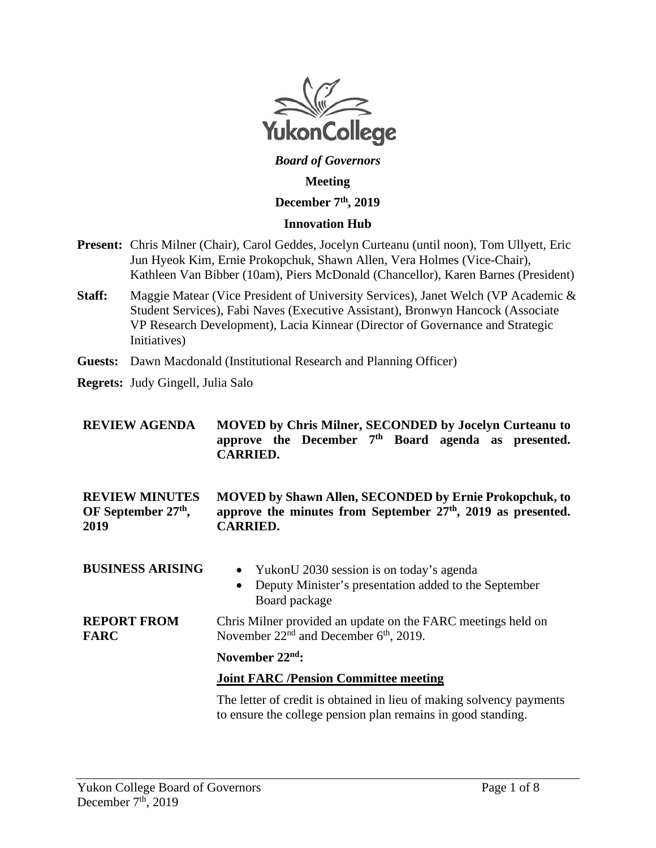

# *Board of Governors*

#### **Meeting**

### **December 7th, 2019**

#### **Innovation Hub**

- **Present:** Chris Milner (Chair), Carol Geddes, Jocelyn Curteanu (until noon), Tom Ullyett, Eric Jun Hyeok Kim, Ernie Prokopchuk, Shawn Allen, Vera Holmes (Vice-Chair), Kathleen Van Bibber (10am), Piers McDonald (Chancellor), Karen Barnes (President)
- **Staff:** Maggie Matear (Vice President of University Services), Janet Welch (VP Academic & Student Services), Fabi Naves (Executive Assistant), Bronwyn Hancock (Associate VP Research Development), Lacia Kinnear (Director of Governance and Strategic Initiatives)
- **Guests:** Dawn Macdonald (Institutional Research and Planning Officer)
- **Regrets:** Judy Gingell, Julia Salo

| <b>REVIEW AGENDA</b>                                | <b>MOVED by Chris Milner, SECONDED by Jocelyn Curteanu to</b><br>approve the December $7th$ Board agenda as presented.<br><b>CARRIED.</b>            |
|-----------------------------------------------------|------------------------------------------------------------------------------------------------------------------------------------------------------|
| <b>REVIEW MINUTES</b><br>OF September 27th,<br>2019 | <b>MOVED by Shawn Allen, SECONDED by Ernie Prokopchuk, to</b><br>approve the minutes from September $27th$ , $2019$ as presented.<br><b>CARRIED.</b> |
| <b>BUSINESS ARISING</b>                             | YukonU 2030 session is on today's agenda<br>$\bullet$<br>Deputy Minister's presentation added to the September<br>$\bullet$<br>Board package         |
| <b>REPORT FROM</b><br><b>FARC</b>                   | Chris Milner provided an update on the FARC meetings held on<br>November $22nd$ and December $6th$ , 2019.                                           |
|                                                     | November $22nd$ :                                                                                                                                    |
|                                                     | <b>Joint FARC /Pension Committee meeting</b>                                                                                                         |
|                                                     | The letter of credit is obtained in lieu of making solvency payments<br>to ensure the college pension plan remains in good standing.                 |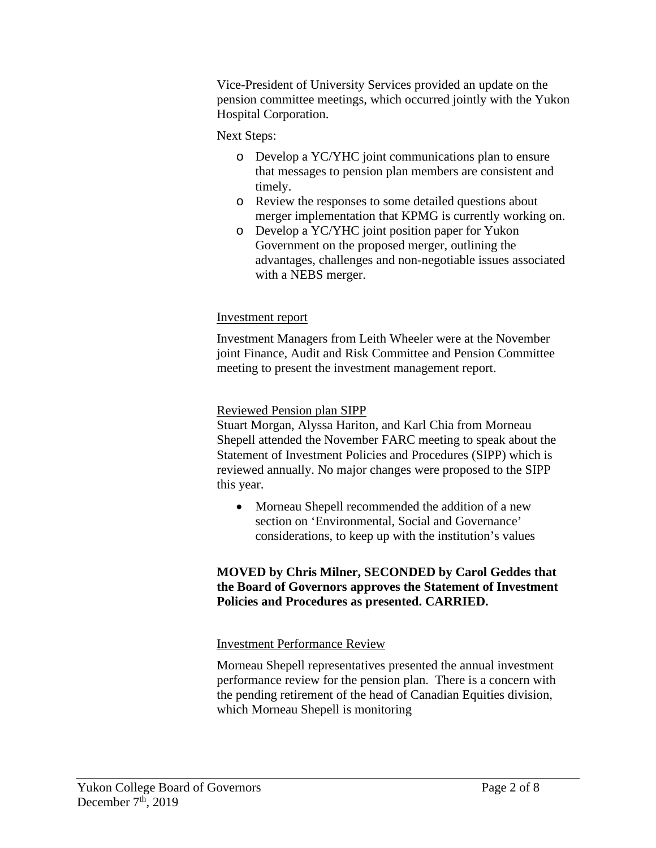Vice-President of University Services provided an update on the pension committee meetings, which occurred jointly with the Yukon Hospital Corporation.

### Next Steps:

- o Develop a YC/YHC joint communications plan to ensure that messages to pension plan members are consistent and timely.
- o Review the responses to some detailed questions about merger implementation that KPMG is currently working on.
- o Develop a YC/YHC joint position paper for Yukon Government on the proposed merger, outlining the advantages, challenges and non-negotiable issues associated with a NEBS merger.

#### Investment report

Investment Managers from Leith Wheeler were at the November joint Finance, Audit and Risk Committee and Pension Committee meeting to present the investment management report.

#### Reviewed Pension plan SIPP

Stuart Morgan, Alyssa Hariton, and Karl Chia from Morneau Shepell attended the November FARC meeting to speak about the Statement of Investment Policies and Procedures (SIPP) which is reviewed annually. No major changes were proposed to the SIPP this year.

• Morneau Shepell recommended the addition of a new section on 'Environmental, Social and Governance' considerations, to keep up with the institution's values

#### **MOVED by Chris Milner, SECONDED by Carol Geddes that the Board of Governors approves the Statement of Investment Policies and Procedures as presented. CARRIED.**

#### Investment Performance Review

Morneau Shepell representatives presented the annual investment performance review for the pension plan. There is a concern with the pending retirement of the head of Canadian Equities division, which Morneau Shepell is monitoring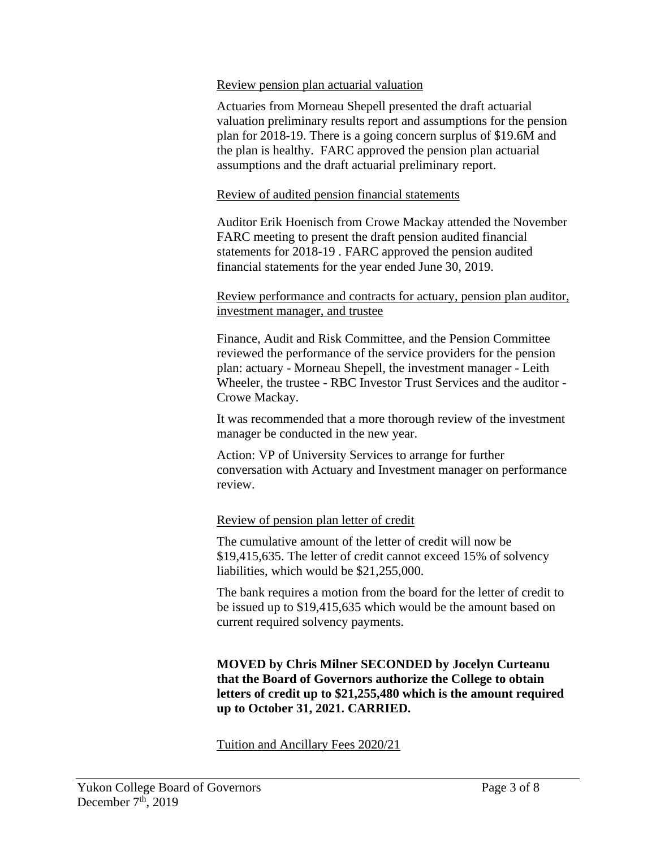#### Review pension plan actuarial valuation

Actuaries from Morneau Shepell presented the draft actuarial valuation preliminary results report and assumptions for the pension plan for 2018-19. There is a going concern surplus of \$19.6M and the plan is healthy. FARC approved the pension plan actuarial assumptions and the draft actuarial preliminary report.

#### Review of audited pension financial statements

Auditor Erik Hoenisch from Crowe Mackay attended the November FARC meeting to present the draft pension audited financial statements for 2018-19 . FARC approved the pension audited financial statements for the year ended June 30, 2019.

#### Review performance and contracts for actuary, pension plan auditor, investment manager, and trustee

Finance, Audit and Risk Committee, and the Pension Committee reviewed the performance of the service providers for the pension plan: actuary - Morneau Shepell, the investment manager - Leith Wheeler, the trustee - RBC Investor Trust Services and the auditor - Crowe Mackay.

It was recommended that a more thorough review of the investment manager be conducted in the new year.

Action: VP of University Services to arrange for further conversation with Actuary and Investment manager on performance review.

### Review of pension plan letter of credit

The cumulative amount of the letter of credit will now be \$19,415,635. The letter of credit cannot exceed 15% of solvency liabilities, which would be \$21,255,000.

The bank requires a motion from the board for the letter of credit to be issued up to \$19,415,635 which would be the amount based on current required solvency payments.

**MOVED by Chris Milner SECONDED by Jocelyn Curteanu that the Board of Governors authorize the College to obtain letters of credit up to \$21,255,480 which is the amount required up to October 31, 2021. CARRIED.**

Tuition and Ancillary Fees 2020/21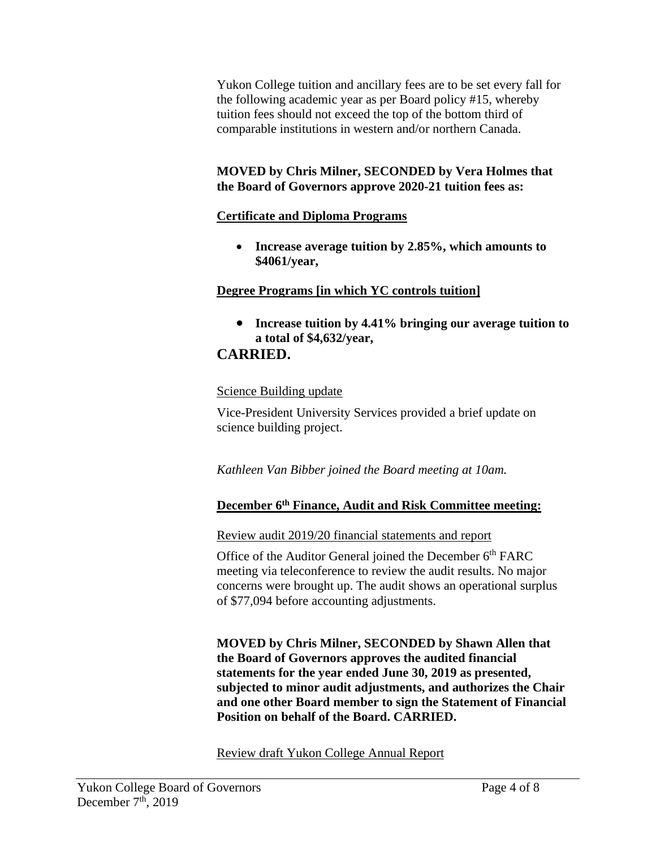Yukon College tuition and ancillary fees are to be set every fall for the following academic year as per Board policy #15, whereby tuition fees should not exceed the top of the bottom third of comparable institutions in western and/or northern Canada.

### **MOVED by Chris Milner, SECONDED by Vera Holmes that the Board of Governors approve 2020-21 tuition fees as:**

### **Certificate and Diploma Programs**

• **Increase average tuition by 2.85%, which amounts to \$4061/year,** 

# **Degree Programs [in which YC controls tuition]**

• **Increase tuition by 4.41% bringing our average tuition to a total of \$4,632/year,** 

# **CARRIED.**

### Science Building update

Vice-President University Services provided a brief update on science building project.

*Kathleen Van Bibber joined the Board meeting at 10am.*

# **December 6th Finance, Audit and Risk Committee meeting:**

### Review audit 2019/20 financial statements and report

Office of the Auditor General joined the December 6<sup>th</sup> FARC meeting via teleconference to review the audit results. No major concerns were brought up. The audit shows an operational surplus of \$77,094 before accounting adjustments.

**MOVED by Chris Milner, SECONDED by Shawn Allen that the Board of Governors approves the audited financial statements for the year ended June 30, 2019 as presented, subjected to minor audit adjustments, and authorizes the Chair and one other Board member to sign the Statement of Financial Position on behalf of the Board. CARRIED.**

Review draft Yukon College Annual Report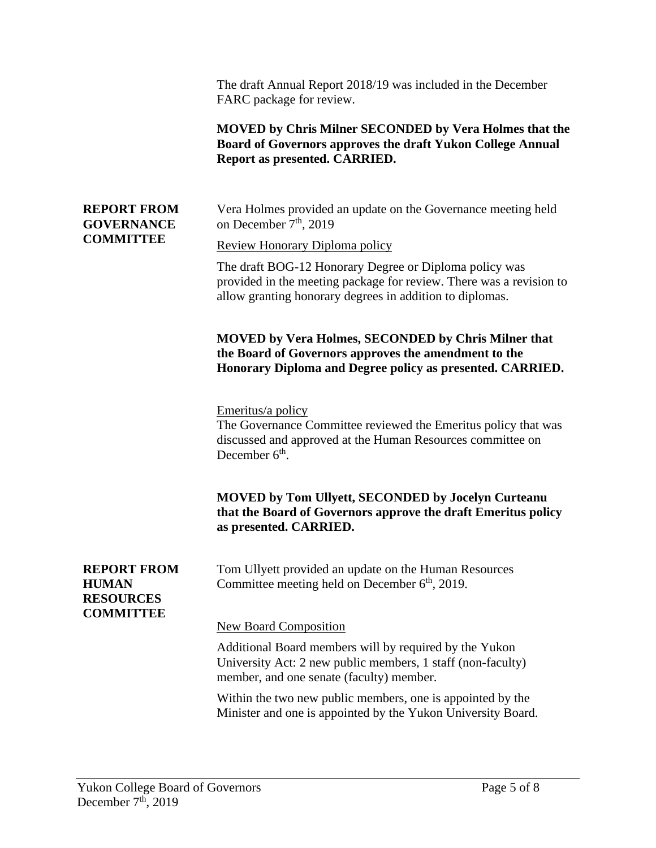|                                                                            | The draft Annual Report 2018/19 was included in the December<br>FARC package for review.<br><b>MOVED</b> by Chris Milner SECONDED by Vera Holmes that the<br>Board of Governors approves the draft Yukon College Annual<br>Report as presented. CARRIED. |
|----------------------------------------------------------------------------|----------------------------------------------------------------------------------------------------------------------------------------------------------------------------------------------------------------------------------------------------------|
| <b>REPORT FROM</b><br><b>GOVERNANCE</b><br><b>COMMITTEE</b>                | Vera Holmes provided an update on the Governance meeting held<br>on December 7 <sup>th</sup> , 2019                                                                                                                                                      |
|                                                                            | Review Honorary Diploma policy                                                                                                                                                                                                                           |
|                                                                            | The draft BOG-12 Honorary Degree or Diploma policy was<br>provided in the meeting package for review. There was a revision to<br>allow granting honorary degrees in addition to diplomas.                                                                |
|                                                                            | <b>MOVED by Vera Holmes, SECONDED by Chris Milner that</b><br>the Board of Governors approves the amendment to the<br>Honorary Diploma and Degree policy as presented. CARRIED.                                                                          |
|                                                                            | Emeritus/a policy<br>The Governance Committee reviewed the Emeritus policy that was<br>discussed and approved at the Human Resources committee on<br>December $6th$ .                                                                                    |
|                                                                            | MOVED by Tom Ullyett, SECONDED by Jocelyn Curteanu<br>that the Board of Governors approve the draft Emeritus policy<br>as presented. CARRIED.                                                                                                            |
| <b>REPORT FROM</b><br><b>HUMAN</b><br><b>RESOURCES</b><br><b>COMMITTEE</b> | Tom Ullyett provided an update on the Human Resources<br>Committee meeting held on December 6 <sup>th</sup> , 2019.                                                                                                                                      |
|                                                                            | <b>New Board Composition</b>                                                                                                                                                                                                                             |
|                                                                            | Additional Board members will by required by the Yukon<br>University Act: 2 new public members, 1 staff (non-faculty)<br>member, and one senate (faculty) member.                                                                                        |
|                                                                            | Within the two new public members, one is appointed by the<br>Minister and one is appointed by the Yukon University Board.                                                                                                                               |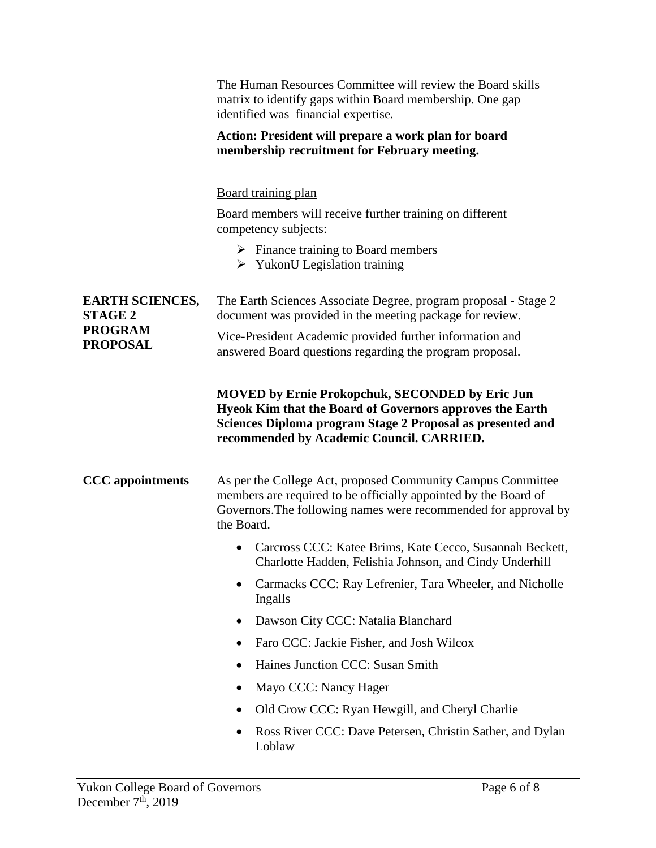|                                                                               | The Human Resources Committee will review the Board skills<br>matrix to identify gaps within Board membership. One gap<br>identified was financial expertise.                                                                 |
|-------------------------------------------------------------------------------|-------------------------------------------------------------------------------------------------------------------------------------------------------------------------------------------------------------------------------|
|                                                                               | Action: President will prepare a work plan for board<br>membership recruitment for February meeting.                                                                                                                          |
|                                                                               | <b>Board training plan</b>                                                                                                                                                                                                    |
|                                                                               | Board members will receive further training on different<br>competency subjects:                                                                                                                                              |
|                                                                               | $\triangleright$ Finance training to Board members<br>$\triangleright$ YukonU Legislation training                                                                                                                            |
| <b>EARTH SCIENCES,</b><br><b>STAGE 2</b><br><b>PROGRAM</b><br><b>PROPOSAL</b> | The Earth Sciences Associate Degree, program proposal - Stage 2<br>document was provided in the meeting package for review.                                                                                                   |
|                                                                               | Vice-President Academic provided further information and<br>answered Board questions regarding the program proposal.                                                                                                          |
|                                                                               | <b>MOVED by Ernie Prokopchuk, SECONDED by Eric Jun</b><br>Hyeok Kim that the Board of Governors approves the Earth<br>Sciences Diploma program Stage 2 Proposal as presented and<br>recommended by Academic Council. CARRIED. |
| <b>CCC</b> appointments                                                       | As per the College Act, proposed Community Campus Committee<br>members are required to be officially appointed by the Board of<br>Governors. The following names were recommended for approval by<br>the Board.               |
|                                                                               | Carcross CCC: Katee Brims, Kate Cecco, Susannah Beckett,<br>Charlotte Hadden, Felishia Johnson, and Cindy Underhill                                                                                                           |
|                                                                               | Carmacks CCC: Ray Lefrenier, Tara Wheeler, and Nicholle<br>Ingalls                                                                                                                                                            |
|                                                                               | Dawson City CCC: Natalia Blanchard<br>٠                                                                                                                                                                                       |
|                                                                               | Faro CCC: Jackie Fisher, and Josh Wilcox                                                                                                                                                                                      |
|                                                                               | Haines Junction CCC: Susan Smith                                                                                                                                                                                              |
|                                                                               | Mayo CCC: Nancy Hager                                                                                                                                                                                                         |
|                                                                               | Old Crow CCC: Ryan Hewgill, and Cheryl Charlie                                                                                                                                                                                |
|                                                                               | Ross River CCC: Dave Petersen, Christin Sather, and Dylan<br>Loblaw                                                                                                                                                           |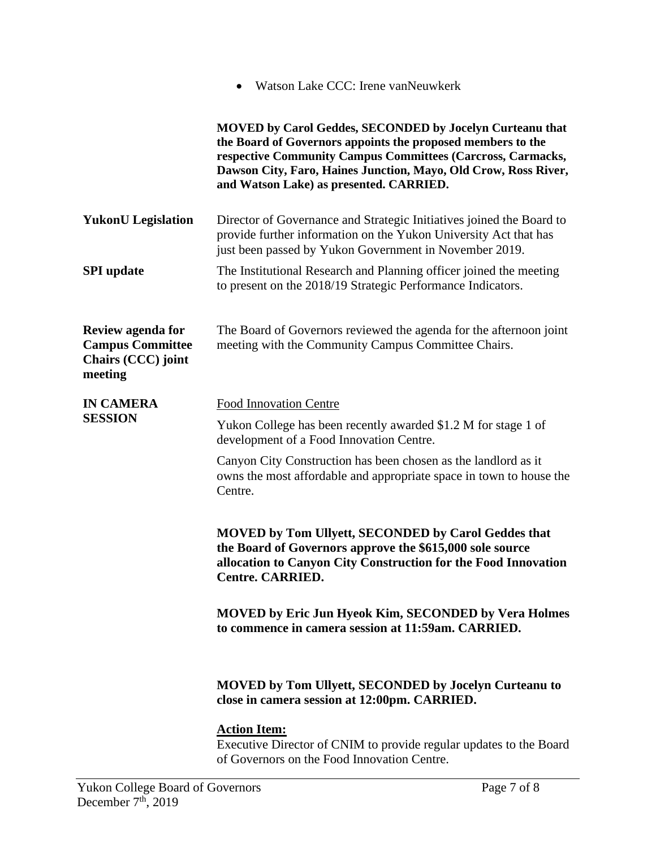|                                                                               | Watson Lake CCC: Irene van Neuwkerk                                                                                                                                                                                                                                                                         |
|-------------------------------------------------------------------------------|-------------------------------------------------------------------------------------------------------------------------------------------------------------------------------------------------------------------------------------------------------------------------------------------------------------|
|                                                                               | <b>MOVED by Carol Geddes, SECONDED by Jocelyn Curteanu that</b><br>the Board of Governors appoints the proposed members to the<br>respective Community Campus Committees (Carcross, Carmacks,<br>Dawson City, Faro, Haines Junction, Mayo, Old Crow, Ross River,<br>and Watson Lake) as presented. CARRIED. |
| <b>YukonU</b> Legislation                                                     | Director of Governance and Strategic Initiatives joined the Board to<br>provide further information on the Yukon University Act that has<br>just been passed by Yukon Government in November 2019.                                                                                                          |
| <b>SPI</b> update                                                             | The Institutional Research and Planning officer joined the meeting<br>to present on the 2018/19 Strategic Performance Indicators.                                                                                                                                                                           |
| Review agenda for<br><b>Campus Committee</b><br>Chairs (CCC) joint<br>meeting | The Board of Governors reviewed the agenda for the afternoon joint<br>meeting with the Community Campus Committee Chairs.                                                                                                                                                                                   |
| <b>IN CAMERA</b><br><b>SESSION</b>                                            | <b>Food Innovation Centre</b>                                                                                                                                                                                                                                                                               |
|                                                                               | Yukon College has been recently awarded \$1.2 M for stage 1 of<br>development of a Food Innovation Centre.                                                                                                                                                                                                  |
|                                                                               | Canyon City Construction has been chosen as the landlord as it<br>owns the most affordable and appropriate space in town to house the<br>Centre.                                                                                                                                                            |
|                                                                               | <b>MOVED by Tom Ullyett, SECONDED by Carol Geddes that</b><br>the Board of Governors approve the \$615,000 sole source<br>allocation to Canyon City Construction for the Food Innovation<br><b>Centre. CARRIED.</b>                                                                                         |
|                                                                               | <b>MOVED by Eric Jun Hyeok Kim, SECONDED by Vera Holmes</b><br>to commence in camera session at 11:59am. CARRIED.                                                                                                                                                                                           |
|                                                                               | <b>MOVED by Tom Ullyett, SECONDED by Jocelyn Curteanu to</b><br>close in camera session at 12:00pm. CARRIED.                                                                                                                                                                                                |
|                                                                               | <b>Action Item:</b><br>Executive Director of CNIM to provide regular updates to the Board<br>of Governors on the Food Innovation Centre.                                                                                                                                                                    |